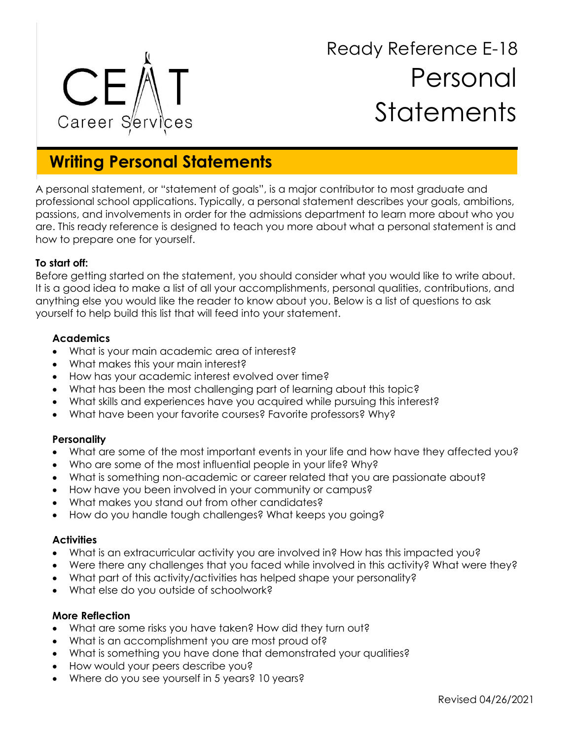

# Ready Reference E-18 Personal **Statements**

# **Writing Personal Statements**

A personal statement, or "statement of goals", is a major contributor to most graduate and professional school applications. Typically, a personal statement describes your goals, ambitions, passions, and involvements in order for the admissions department to learn more about who you are. This ready reference is designed to teach you more about what a personal statement is and how to prepare one for yourself.

## **To start off:**

Before getting started on the statement, you should consider what you would like to write about. It is a good idea to make a list of all your accomplishments, personal qualities, contributions, and anything else you would like the reader to know about you. Below is a list of questions to ask yourself to help build this list that will feed into your statement.

#### **Academics**

- What is your main academic area of interest?
- What makes this your main interest?
- How has your academic interest evolved over time?
- What has been the most challenging part of learning about this topic?
- What skills and experiences have you acquired while pursuing this interest?
- What have been your favorite courses? Favorite professors? Why?

#### **Personality**

- What are some of the most important events in your life and how have they affected you?
- Who are some of the most influential people in your life? Why?
- What is something non-academic or career related that you are passionate about?
- How have you been involved in your community or campus?
- What makes you stand out from other candidates?
- How do you handle tough challenges? What keeps you going?

#### **Activities**

- What is an extracurricular activity you are involved in? How has this impacted you?
- Were there any challenges that you faced while involved in this activity? What were they?
- What part of this activity/activities has helped shape your personality?
- What else do you outside of schoolwork?

#### **More Reflection**

- What are some risks you have taken? How did they turn out?
- What is an accomplishment you are most proud of?
- What is something you have done that demonstrated your qualities?
- How would your peers describe you?
- Where do you see yourself in 5 years? 10 years?